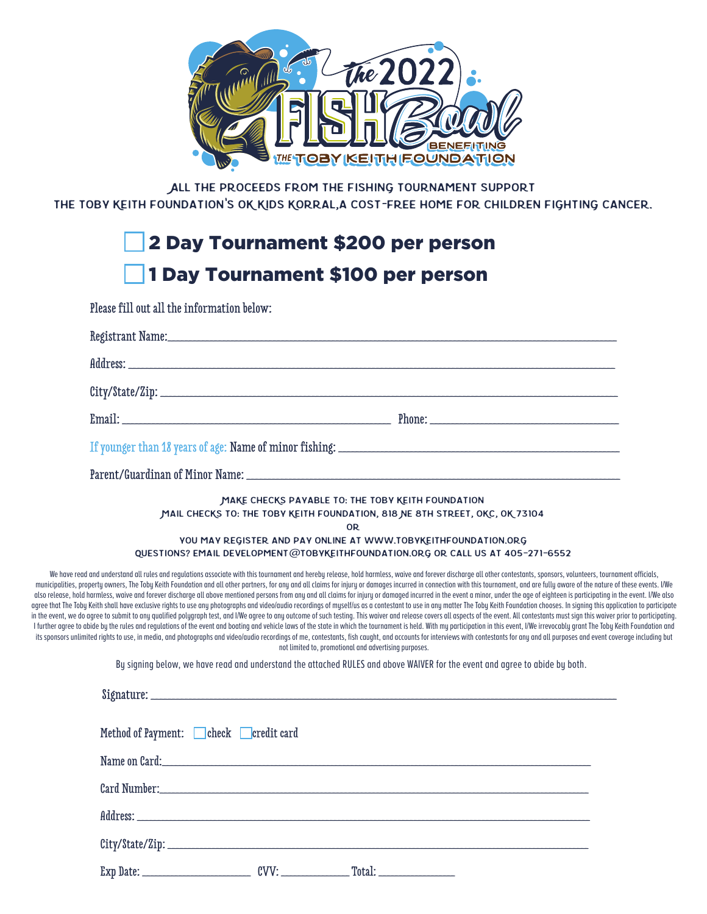

All the proceeds from the fishing tournament support

The Toby Keith Foundation**'**s OK Kids Korral,a cost**-**free home for children fighting cancer.

## 2 Day Tournament \$200 per person 1 Day Tournament \$100 per person

Please fill out all the information below:

| MAKE CHECKS PAYABLE TO: THE TOBY KEITH FOUNDATION<br>MAIL CHECKS TO: THE TOBY KEITH FOUNDATION, 818 NE 8TH STREET, OKC, OK 73104<br><b>OR</b><br>YOU MAY REGISTER AND PAY ONLINE AT WWW.TOBYKEITHFOUNDATION.ORG<br>QUESTIONS? EMAIL DEVELOPMENT@TOBYKEITHFOUNDATION.ORG OR CALL US AT 405-271-6552<br>We have read and understand all rules and requlations associate with this tournament and hereby release, hold harmless, waive and forever discharge all other contestants, sponsors, volunteers, tournament officials,<br>municipalities, property owners, The Toby Keith Foundation and all other partners, for any and all claims for injury or damages incurred in connection with this tournament, and are fully aware of the nature of these events<br>also release, hold harmless, waive and forever discharge all above mentioned persons from any and all claims for injury or damaged incurred in the event a minor, under the age of eighteen is participating in the event. I/W<br>agree that The Toby Keith shall have exclusive rights to use any photographs and video/audio recordings of myself/us as a contestant to use in any matter The Toby Keith Foundation chooses. In signing this application to pa<br>in the event, we do agree to submit to any qualified polygraph test, and I/We agree to any outcome of such testing. This waiver and release covers all aspects of the event. All contestants must sign this waiver prior to pa<br>I further agree to abide by the rules and regulations of the event and boating and vehicle laws of the state in which the tournament is held. With my participation in this event, I/We irrevocably grant The Toby Keith Found<br>its sponsors unlimited rights to use, in media, and photographs and video/audio recordings of me, contestants, fish caught, and accounts for interviews with contestants for any and all purposes and event coverage including<br>not limited to, promotional and advertising purposes.<br>By signing below, we have read and understand the attached RULES and above WAIVER for the event and agree to abide by both.<br>Method of Payment: Check Credit card |  |  |  |  |
|--------------------------------------------------------------------------------------------------------------------------------------------------------------------------------------------------------------------------------------------------------------------------------------------------------------------------------------------------------------------------------------------------------------------------------------------------------------------------------------------------------------------------------------------------------------------------------------------------------------------------------------------------------------------------------------------------------------------------------------------------------------------------------------------------------------------------------------------------------------------------------------------------------------------------------------------------------------------------------------------------------------------------------------------------------------------------------------------------------------------------------------------------------------------------------------------------------------------------------------------------------------------------------------------------------------------------------------------------------------------------------------------------------------------------------------------------------------------------------------------------------------------------------------------------------------------------------------------------------------------------------------------------------------------------------------------------------------------------------------------------------------------------------------------------------------------------------------------------------------------------------------------------------------------------------------------------------------------------------------------------------------------------------------------------------------------------------------------------------------------------------------------------------------------------|--|--|--|--|
|                                                                                                                                                                                                                                                                                                                                                                                                                                                                                                                                                                                                                                                                                                                                                                                                                                                                                                                                                                                                                                                                                                                                                                                                                                                                                                                                                                                                                                                                                                                                                                                                                                                                                                                                                                                                                                                                                                                                                                                                                                                                                                                                                                          |  |  |  |  |
|                                                                                                                                                                                                                                                                                                                                                                                                                                                                                                                                                                                                                                                                                                                                                                                                                                                                                                                                                                                                                                                                                                                                                                                                                                                                                                                                                                                                                                                                                                                                                                                                                                                                                                                                                                                                                                                                                                                                                                                                                                                                                                                                                                          |  |  |  |  |
|                                                                                                                                                                                                                                                                                                                                                                                                                                                                                                                                                                                                                                                                                                                                                                                                                                                                                                                                                                                                                                                                                                                                                                                                                                                                                                                                                                                                                                                                                                                                                                                                                                                                                                                                                                                                                                                                                                                                                                                                                                                                                                                                                                          |  |  |  |  |